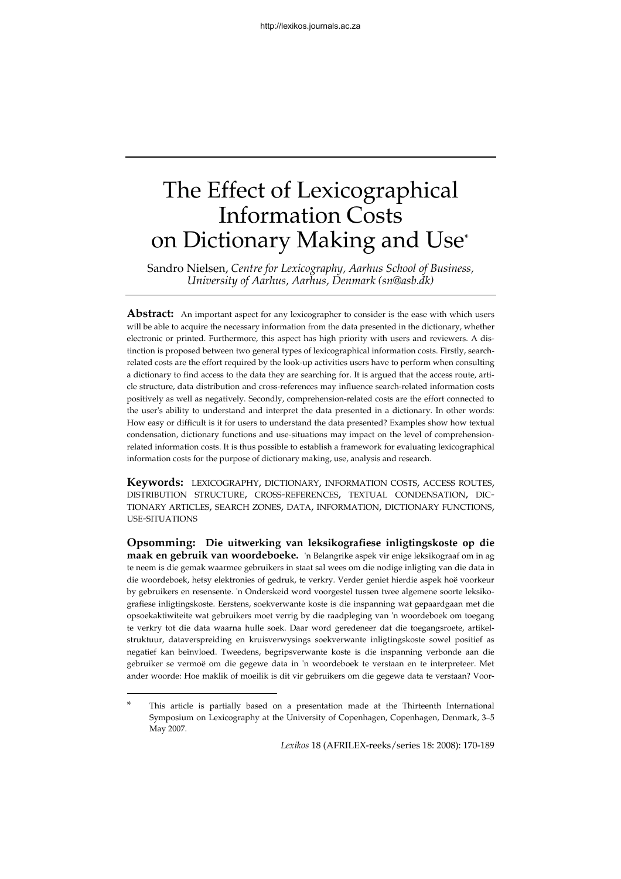# The Effect of Lexicographical Information Costs on Dictionary Making and Use<sup>\*</sup>

Sandro Nielsen, *Centre for Lexicography, Aarhus School of Business, University of Aarhus, Aarhus, Denmark (sn@asb.dk)*

**Abstract:** An important aspect for any lexicographer to consider is the ease with which users will be able to acquire the necessary information from the data presented in the dictionary, whether electronic or printed. Furthermore, this aspect has high priority with users and reviewers. A distinction is proposed between two general types of lexicographical information costs. Firstly, searchrelated costs are the effort required by the look-up activities users have to perform when consulting a dictionary to find access to the data they are searching for. It is argued that the access route, article structure, data distribution and cross-references may influence search-related information costs positively as well as negatively. Secondly, comprehension-related costs are the effort connected to the user's ability to understand and interpret the data presented in a dictionary. In other words: How easy or difficult is it for users to understand the data presented? Examples show how textual condensation, dictionary functions and use-situations may impact on the level of comprehensionrelated information costs. It is thus possible to establish a framework for evaluating lexicographical information costs for the purpose of dictionary making, use, analysis and research.

**Keywords:** LEXICOGRAPHY, DICTIONARY, INFORMATION COSTS, ACCESS ROUTES, DISTRIBUTION STRUCTURE, CROSS-REFERENCES, TEXTUAL CONDENSATION, DIC-TIONARY ARTICLES, SEARCH ZONES, DATA, INFORMATION, DICTIONARY FUNCTIONS, USE-SITUATIONS

**Opsomming: Die uitwerking van leksikografiese inligtingskoste op die maak en gebruik van woordeboeke.** 'n Belangrike aspek vir enige leksikograaf om in ag te neem is die gemak waarmee gebruikers in staat sal wees om die nodige inligting van die data in die woordeboek, hetsy elektronies of gedruk, te verkry. Verder geniet hierdie aspek hoë voorkeur by gebruikers en resensente. 'n Onderskeid word voorgestel tussen twee algemene soorte leksikografiese inligtingskoste. Eerstens, soekverwante koste is die inspanning wat gepaardgaan met die opsoekaktiwiteite wat gebruikers moet verrig by die raadpleging van 'n woordeboek om toegang te verkry tot die data waarna hulle soek. Daar word geredeneer dat die toegangsroete, artikelstruktuur, dataverspreiding en kruisverwysings soekverwante inligtingskoste sowel positief as negatief kan beïnvloed. Tweedens, begripsverwante koste is die inspanning verbonde aan die gebruiker se vermoë om die gegewe data in 'n woordeboek te verstaan en te interpreteer. Met ander woorde: Hoe maklik of moeilik is dit vir gebruikers om die gegewe data te verstaan? Voor-

 $\overline{a}$ 

This article is partially based on a presentation made at the Thirteenth International Symposium on Lexicography at the University of Copenhagen, Copenhagen, Denmark, 3–5 May 2007.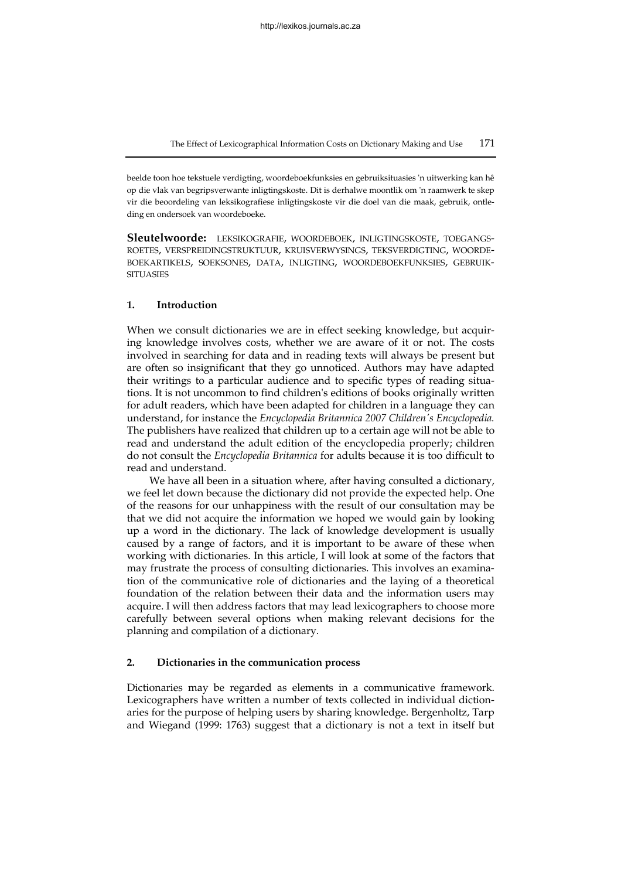beelde toon hoe tekstuele verdigting, woordeboekfunksies en gebruiksituasies 'n uitwerking kan hê op die vlak van begripsverwante inligtingskoste. Dit is derhalwe moontlik om 'n raamwerk te skep vir die beoordeling van leksikografiese inligtingskoste vir die doel van die maak, gebruik, ontleding en ondersoek van woordeboeke.

**Sleutelwoorde:** LEKSIKOGRAFIE, WOORDEBOEK, INLIGTINGSKOSTE, TOEGANGS-ROETES, VERSPREIDINGSTRUKTUUR, KRUISVERWYSINGS, TEKSVERDIGTING, WOORDE-BOEKARTIKELS, SOEKSONES, DATA, INLIGTING, WOORDEBOEKFUNKSIES, GEBRUIK-**SITUASIES** 

# **1. Introduction**

When we consult dictionaries we are in effect seeking knowledge, but acquiring knowledge involves costs, whether we are aware of it or not. The costs involved in searching for data and in reading texts will always be present but are often so insignificant that they go unnoticed. Authors may have adapted their writings to a particular audience and to specific types of reading situations. It is not uncommon to find children's editions of books originally written for adult readers, which have been adapted for children in a language they can understand, for instance the *Encyclopedia Britannica 2007 Children's Encyclopedia.* The publishers have realized that children up to a certain age will not be able to read and understand the adult edition of the encyclopedia properly; children do not consult the *Encyclopedia Britannica* for adults because it is too difficult to read and understand.

We have all been in a situation where, after having consulted a dictionary, we feel let down because the dictionary did not provide the expected help. One of the reasons for our unhappiness with the result of our consultation may be that we did not acquire the information we hoped we would gain by looking up a word in the dictionary. The lack of knowledge development is usually caused by a range of factors, and it is important to be aware of these when working with dictionaries. In this article, I will look at some of the factors that may frustrate the process of consulting dictionaries. This involves an examination of the communicative role of dictionaries and the laying of a theoretical foundation of the relation between their data and the information users may acquire. I will then address factors that may lead lexicographers to choose more carefully between several options when making relevant decisions for the planning and compilation of a dictionary.

#### **2. Dictionaries in the communication process**

Dictionaries may be regarded as elements in a communicative framework. Lexicographers have written a number of texts collected in individual dictionaries for the purpose of helping users by sharing knowledge. Bergenholtz, Tarp and Wiegand (1999: 1763) suggest that a dictionary is not a text in itself but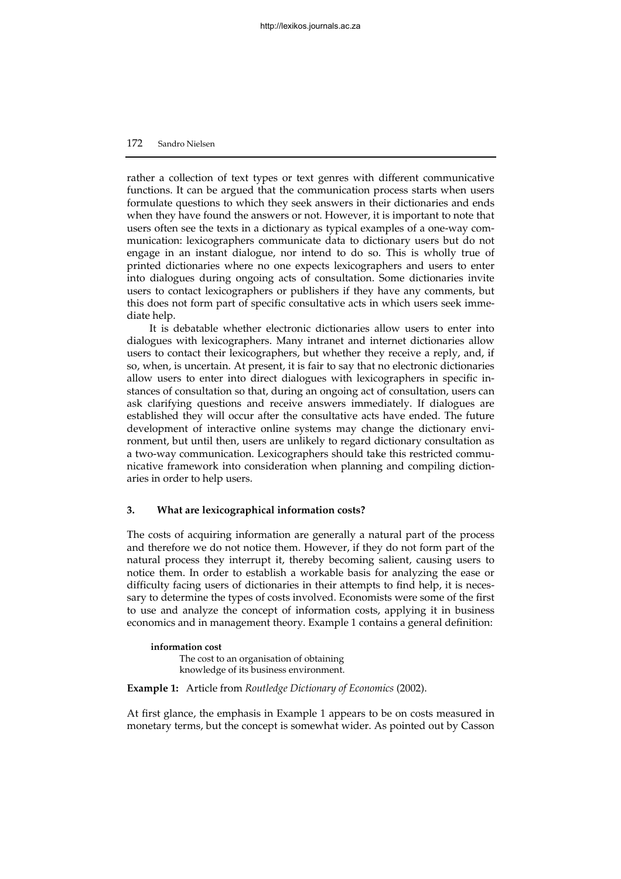rather a collection of text types or text genres with different communicative functions. It can be argued that the communication process starts when users formulate questions to which they seek answers in their dictionaries and ends when they have found the answers or not. However, it is important to note that users often see the texts in a dictionary as typical examples of a one-way communication: lexicographers communicate data to dictionary users but do not engage in an instant dialogue, nor intend to do so. This is wholly true of printed dictionaries where no one expects lexicographers and users to enter into dialogues during ongoing acts of consultation. Some dictionaries invite users to contact lexicographers or publishers if they have any comments, but this does not form part of specific consultative acts in which users seek immediate help.

It is debatable whether electronic dictionaries allow users to enter into dialogues with lexicographers. Many intranet and internet dictionaries allow users to contact their lexicographers, but whether they receive a reply, and, if so, when, is uncertain. At present, it is fair to say that no electronic dictionaries allow users to enter into direct dialogues with lexicographers in specific instances of consultation so that, during an ongoing act of consultation, users can ask clarifying questions and receive answers immediately. If dialogues are established they will occur after the consultative acts have ended. The future development of interactive online systems may change the dictionary environment, but until then, users are unlikely to regard dictionary consultation as a two-way communication. Lexicographers should take this restricted communicative framework into consideration when planning and compiling dictionaries in order to help users.

#### **3. What are lexicographical information costs?**

The costs of acquiring information are generally a natural part of the process and therefore we do not notice them. However, if they do not form part of the natural process they interrupt it, thereby becoming salient, causing users to notice them. In order to establish a workable basis for analyzing the ease or difficulty facing users of dictionaries in their attempts to find help, it is necessary to determine the types of costs involved. Economists were some of the first to use and analyze the concept of information costs, applying it in business economics and in management theory. Example 1 contains a general definition:

#### **information cost**  The cost to an organisation of obtaining knowledge of its business environment.

#### **Example 1:** Article from *Routledge Dictionary of Economics* (2002).

At first glance, the emphasis in Example 1 appears to be on costs measured in monetary terms, but the concept is somewhat wider. As pointed out by Casson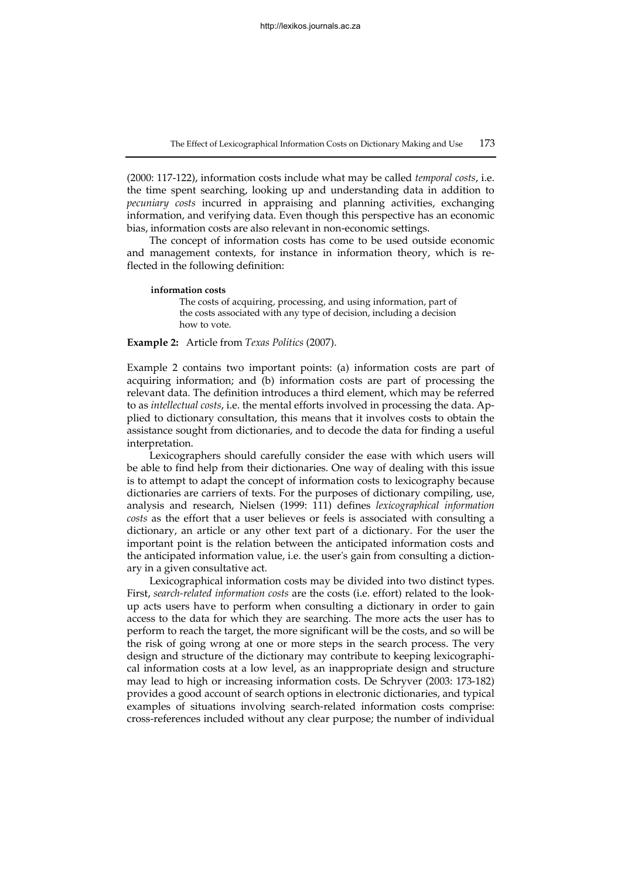(2000: 117-122), information costs include what may be called *temporal costs*, i.e. the time spent searching, looking up and understanding data in addition to *pecuniary costs* incurred in appraising and planning activities, exchanging information, and verifying data. Even though this perspective has an economic bias, information costs are also relevant in non-economic settings.

The concept of information costs has come to be used outside economic and management contexts, for instance in information theory, which is reflected in the following definition:

#### **information costs**

 The costs of acquiring, processing, and using information, part of the costs associated with any type of decision, including a decision how to vote.

#### **Example 2:** Article from *Texas Politics* (2007).

Example 2 contains two important points: (a) information costs are part of acquiring information; and (b) information costs are part of processing the relevant data. The definition introduces a third element, which may be referred to as *intellectual costs*, i.e. the mental efforts involved in processing the data. Applied to dictionary consultation, this means that it involves costs to obtain the assistance sought from dictionaries, and to decode the data for finding a useful interpretation.

Lexicographers should carefully consider the ease with which users will be able to find help from their dictionaries. One way of dealing with this issue is to attempt to adapt the concept of information costs to lexicography because dictionaries are carriers of texts. For the purposes of dictionary compiling, use, analysis and research, Nielsen (1999: 111) defines *lexicographical information costs* as the effort that a user believes or feels is associated with consulting a dictionary, an article or any other text part of a dictionary. For the user the important point is the relation between the anticipated information costs and the anticipated information value, i.e. the user's gain from consulting a dictionary in a given consultative act.

Lexicographical information costs may be divided into two distinct types. First, *search-related information costs* are the costs (i.e. effort) related to the lookup acts users have to perform when consulting a dictionary in order to gain access to the data for which they are searching. The more acts the user has to perform to reach the target, the more significant will be the costs, and so will be the risk of going wrong at one or more steps in the search process. The very design and structure of the dictionary may contribute to keeping lexicographical information costs at a low level, as an inappropriate design and structure may lead to high or increasing information costs. De Schryver (2003: 173-182) provides a good account of search options in electronic dictionaries, and typical examples of situations involving search-related information costs comprise: cross-references included without any clear purpose; the number of individual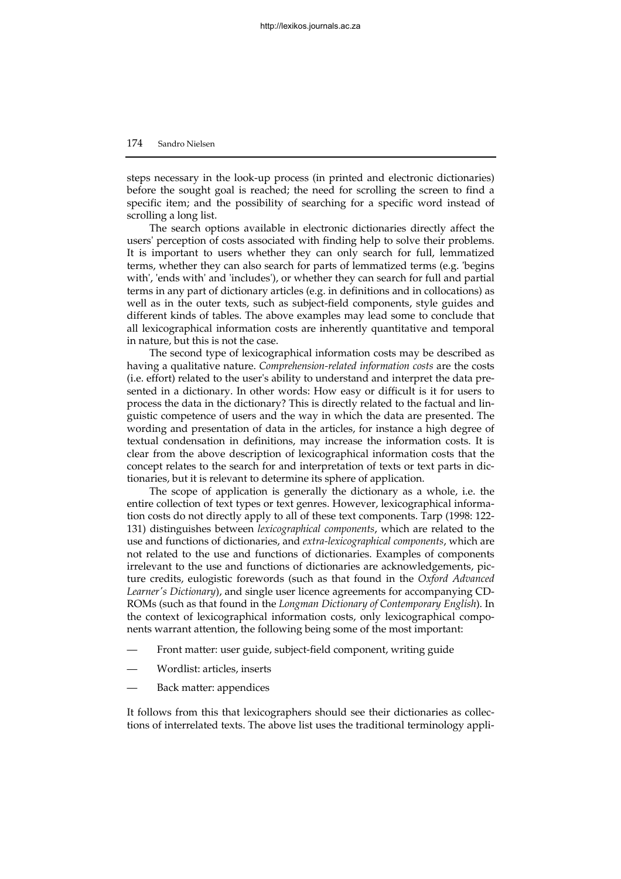steps necessary in the look-up process (in printed and electronic dictionaries) before the sought goal is reached; the need for scrolling the screen to find a specific item; and the possibility of searching for a specific word instead of scrolling a long list.

The search options available in electronic dictionaries directly affect the users' perception of costs associated with finding help to solve their problems. It is important to users whether they can only search for full, lemmatized terms, whether they can also search for parts of lemmatized terms (e.g. 'begins with', 'ends with' and 'includes'), or whether they can search for full and partial terms in any part of dictionary articles (e.g. in definitions and in collocations) as well as in the outer texts, such as subject-field components, style guides and different kinds of tables. The above examples may lead some to conclude that all lexicographical information costs are inherently quantitative and temporal in nature, but this is not the case.

The second type of lexicographical information costs may be described as having a qualitative nature. *Comprehension-related information costs* are the costs (i.e. effort) related to the user's ability to understand and interpret the data presented in a dictionary. In other words: How easy or difficult is it for users to process the data in the dictionary? This is directly related to the factual and linguistic competence of users and the way in which the data are presented. The wording and presentation of data in the articles, for instance a high degree of textual condensation in definitions, may increase the information costs. It is clear from the above description of lexicographical information costs that the concept relates to the search for and interpretation of texts or text parts in dictionaries, but it is relevant to determine its sphere of application.

The scope of application is generally the dictionary as a whole, i.e. the entire collection of text types or text genres. However, lexicographical information costs do not directly apply to all of these text components. Tarp (1998: 122- 131) distinguishes between *lexicographical components*, which are related to the use and functions of dictionaries, and *extra-lexicographical components*, which are not related to the use and functions of dictionaries. Examples of components irrelevant to the use and functions of dictionaries are acknowledgements, picture credits, eulogistic forewords (such as that found in the *Oxford Advanced Learner's Dictionary*), and single user licence agreements for accompanying CD-ROMs (such as that found in the *Longman Dictionary of Contemporary English*). In the context of lexicographical information costs, only lexicographical components warrant attention, the following being some of the most important:

- Front matter: user guide, subject-field component, writing guide
- Wordlist: articles, inserts
- Back matter: appendices

It follows from this that lexicographers should see their dictionaries as collections of interrelated texts. The above list uses the traditional terminology appli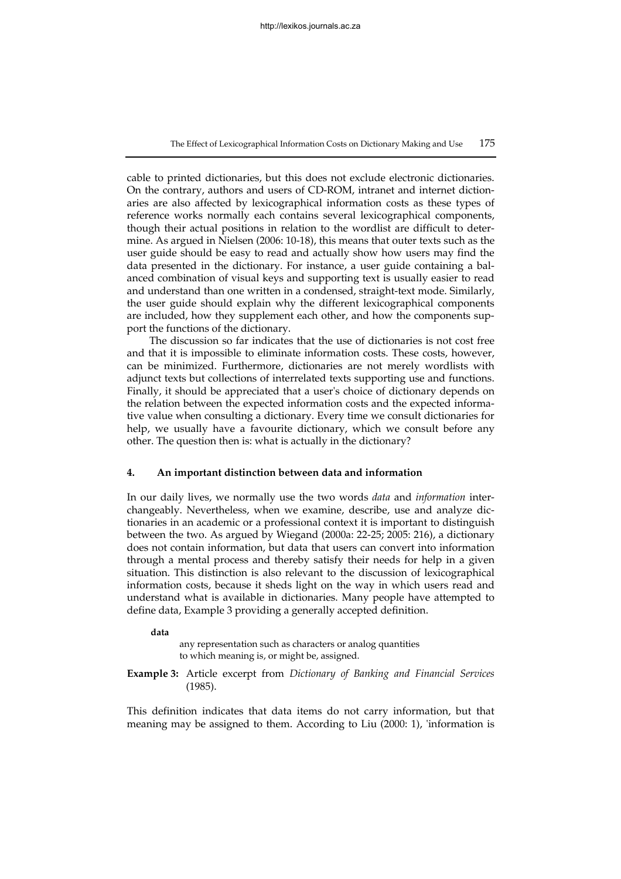The Effect of Lexicographical Information Costs on Dictionary Making and Use 175

cable to printed dictionaries, but this does not exclude electronic dictionaries. On the contrary, authors and users of CD-ROM, intranet and internet dictionaries are also affected by lexicographical information costs as these types of reference works normally each contains several lexicographical components, though their actual positions in relation to the wordlist are difficult to determine. As argued in Nielsen (2006: 10-18), this means that outer texts such as the user guide should be easy to read and actually show how users may find the data presented in the dictionary. For instance, a user guide containing a balanced combination of visual keys and supporting text is usually easier to read and understand than one written in a condensed, straight-text mode. Similarly, the user guide should explain why the different lexicographical components are included, how they supplement each other, and how the components support the functions of the dictionary.

The discussion so far indicates that the use of dictionaries is not cost free and that it is impossible to eliminate information costs. These costs, however, can be minimized. Furthermore, dictionaries are not merely wordlists with adjunct texts but collections of interrelated texts supporting use and functions. Finally, it should be appreciated that a user's choice of dictionary depends on the relation between the expected information costs and the expected informative value when consulting a dictionary. Every time we consult dictionaries for help, we usually have a favourite dictionary, which we consult before any other. The question then is: what is actually in the dictionary?

# **4. An important distinction between data and information**

In our daily lives, we normally use the two words *data* and *information* interchangeably. Nevertheless, when we examine, describe, use and analyze dictionaries in an academic or a professional context it is important to distinguish between the two. As argued by Wiegand (2000a: 22-25; 2005: 216), a dictionary does not contain information, but data that users can convert into information through a mental process and thereby satisfy their needs for help in a given situation. This distinction is also relevant to the discussion of lexicographical information costs, because it sheds light on the way in which users read and understand what is available in dictionaries. Many people have attempted to define data, Example 3 providing a generally accepted definition.

**data** 

 any representation such as characters or analog quantities to which meaning is, or might be, assigned.

**Example 3:** Article excerpt from *Dictionary of Banking and Financial Services* (1985).

This definition indicates that data items do not carry information, but that meaning may be assigned to them. According to Liu (2000: 1), 'information is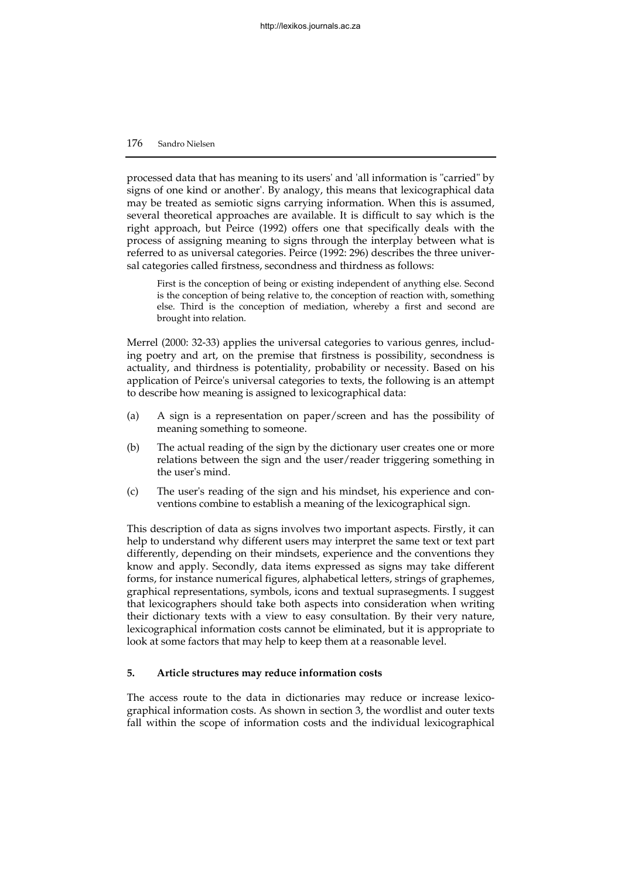processed data that has meaning to its users' and 'all information is "carried" by signs of one kind or another'. By analogy, this means that lexicographical data may be treated as semiotic signs carrying information. When this is assumed, several theoretical approaches are available. It is difficult to say which is the right approach, but Peirce (1992) offers one that specifically deals with the process of assigning meaning to signs through the interplay between what is referred to as universal categories. Peirce (1992: 296) describes the three universal categories called firstness, secondness and thirdness as follows:

First is the conception of being or existing independent of anything else. Second is the conception of being relative to, the conception of reaction with, something else. Third is the conception of mediation, whereby a first and second are brought into relation.

Merrel (2000: 32-33) applies the universal categories to various genres, including poetry and art, on the premise that firstness is possibility, secondness is actuality, and thirdness is potentiality, probability or necessity. Based on his application of Peirce's universal categories to texts, the following is an attempt to describe how meaning is assigned to lexicographical data:

- (a) A sign is a representation on paper/screen and has the possibility of meaning something to someone.
- (b) The actual reading of the sign by the dictionary user creates one or more relations between the sign and the user/reader triggering something in the user's mind.
- (c) The user's reading of the sign and his mindset, his experience and conventions combine to establish a meaning of the lexicographical sign.

This description of data as signs involves two important aspects. Firstly, it can help to understand why different users may interpret the same text or text part differently, depending on their mindsets, experience and the conventions they know and apply. Secondly, data items expressed as signs may take different forms, for instance numerical figures, alphabetical letters, strings of graphemes, graphical representations, symbols, icons and textual suprasegments. I suggest that lexicographers should take both aspects into consideration when writing their dictionary texts with a view to easy consultation. By their very nature, lexicographical information costs cannot be eliminated, but it is appropriate to look at some factors that may help to keep them at a reasonable level.

## **5. Article structures may reduce information costs**

The access route to the data in dictionaries may reduce or increase lexicographical information costs. As shown in section 3, the wordlist and outer texts fall within the scope of information costs and the individual lexicographical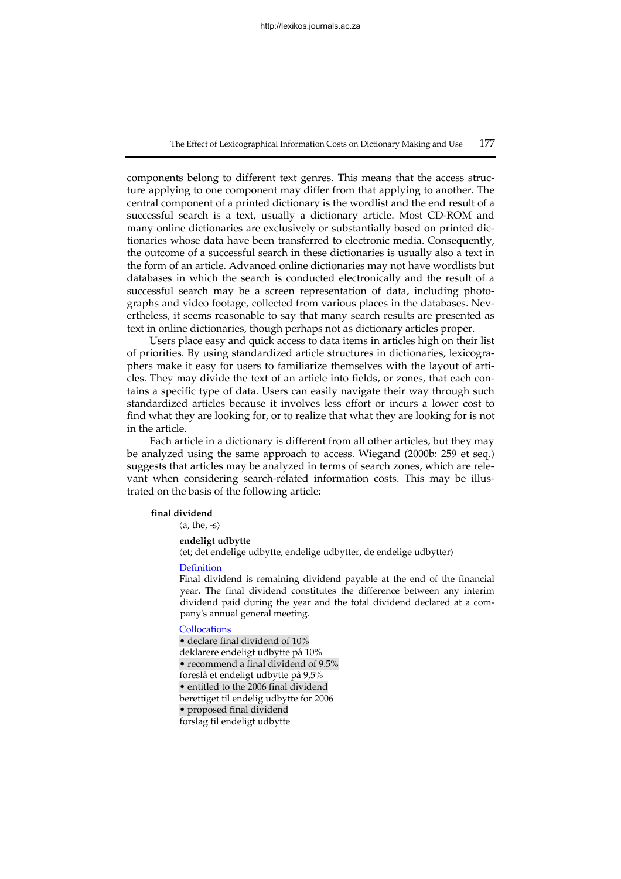The Effect of Lexicographical Information Costs on Dictionary Making and Use 177

components belong to different text genres. This means that the access structure applying to one component may differ from that applying to another. The central component of a printed dictionary is the wordlist and the end result of a successful search is a text, usually a dictionary article. Most CD-ROM and many online dictionaries are exclusively or substantially based on printed dictionaries whose data have been transferred to electronic media. Consequently, the outcome of a successful search in these dictionaries is usually also a text in the form of an article. Advanced online dictionaries may not have wordlists but databases in which the search is conducted electronically and the result of a successful search may be a screen representation of data, including photographs and video footage, collected from various places in the databases. Nevertheless, it seems reasonable to say that many search results are presented as text in online dictionaries, though perhaps not as dictionary articles proper.

Users place easy and quick access to data items in articles high on their list of priorities. By using standardized article structures in dictionaries, lexicographers make it easy for users to familiarize themselves with the layout of articles. They may divide the text of an article into fields, or zones, that each contains a specific type of data. Users can easily navigate their way through such standardized articles because it involves less effort or incurs a lower cost to find what they are looking for, or to realize that what they are looking for is not in the article.

Each article in a dictionary is different from all other articles, but they may be analyzed using the same approach to access. Wiegand (2000b: 259 et seq.) suggests that articles may be analyzed in terms of search zones, which are relevant when considering search-related information costs. This may be illustrated on the basis of the following article:

**final dividend** 

 $\langle a, \text{the}, -\text{s} \rangle$ 

#### **endeligt udbytte**

〈et; det endelige udbytte, endelige udbytter, de endelige udbytter〉

#### **Definition**

 Final dividend is remaining dividend payable at the end of the financial year. The final dividend constitutes the difference between any interim dividend paid during the year and the total dividend declared at a company's annual general meeting.

#### **Collocations**

 • declare final dividend of 10% deklarere endeligt udbytte på 10% • recommend a final dividend of 9.5% foreslå et endeligt udbytte på 9,5% • entitled to the 2006 final dividend berettiget til endelig udbytte for 2006 • proposed final dividend forslag til endeligt udbytte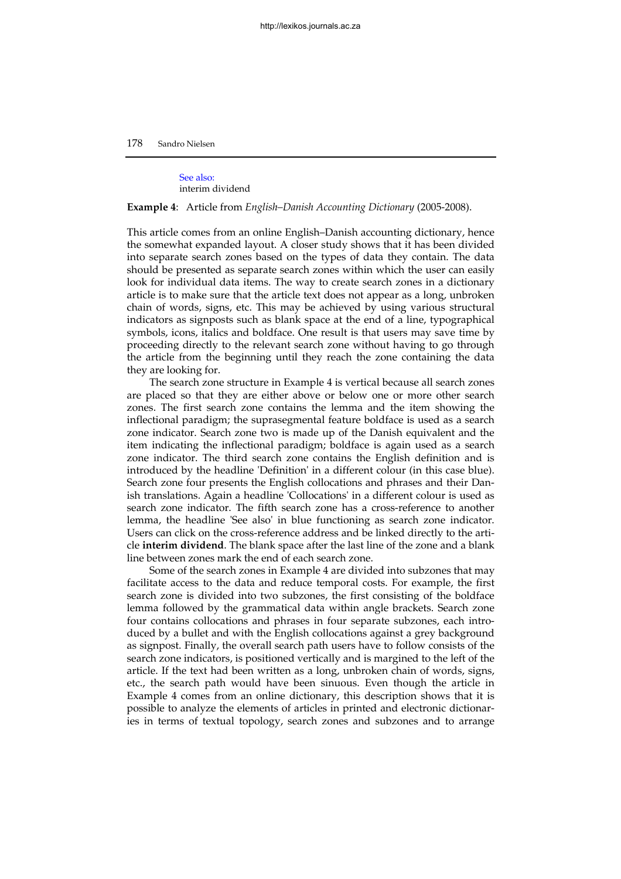#### See also: interim dividend

#### **Example 4**: Article from *English–Danish Accounting Dictionary* (2005-2008).

This article comes from an online English–Danish accounting dictionary, hence the somewhat expanded layout. A closer study shows that it has been divided into separate search zones based on the types of data they contain. The data should be presented as separate search zones within which the user can easily look for individual data items. The way to create search zones in a dictionary article is to make sure that the article text does not appear as a long, unbroken chain of words, signs, etc. This may be achieved by using various structural indicators as signposts such as blank space at the end of a line, typographical symbols, icons, italics and boldface. One result is that users may save time by proceeding directly to the relevant search zone without having to go through the article from the beginning until they reach the zone containing the data they are looking for.

The search zone structure in Example 4 is vertical because all search zones are placed so that they are either above or below one or more other search zones. The first search zone contains the lemma and the item showing the inflectional paradigm; the suprasegmental feature boldface is used as a search zone indicator. Search zone two is made up of the Danish equivalent and the item indicating the inflectional paradigm; boldface is again used as a search zone indicator. The third search zone contains the English definition and is introduced by the headline 'Definition' in a different colour (in this case blue). Search zone four presents the English collocations and phrases and their Danish translations. Again a headline 'Collocations' in a different colour is used as search zone indicator. The fifth search zone has a cross-reference to another lemma, the headline 'See also' in blue functioning as search zone indicator. Users can click on the cross-reference address and be linked directly to the article **interim dividend**. The blank space after the last line of the zone and a blank line between zones mark the end of each search zone.

Some of the search zones in Example 4 are divided into subzones that may facilitate access to the data and reduce temporal costs. For example, the first search zone is divided into two subzones, the first consisting of the boldface lemma followed by the grammatical data within angle brackets. Search zone four contains collocations and phrases in four separate subzones, each introduced by a bullet and with the English collocations against a grey background as signpost. Finally, the overall search path users have to follow consists of the search zone indicators, is positioned vertically and is margined to the left of the article. If the text had been written as a long, unbroken chain of words, signs, etc., the search path would have been sinuous. Even though the article in Example 4 comes from an online dictionary, this description shows that it is possible to analyze the elements of articles in printed and electronic dictionaries in terms of textual topology, search zones and subzones and to arrange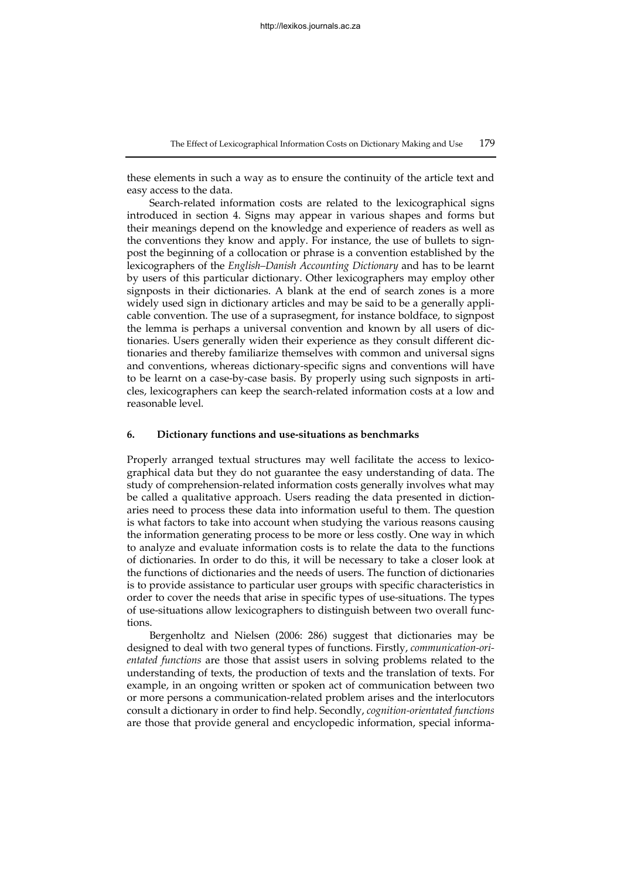these elements in such a way as to ensure the continuity of the article text and easy access to the data.

Search-related information costs are related to the lexicographical signs introduced in section 4. Signs may appear in various shapes and forms but their meanings depend on the knowledge and experience of readers as well as the conventions they know and apply. For instance, the use of bullets to signpost the beginning of a collocation or phrase is a convention established by the lexicographers of the *English–Danish Accounting Dictionary* and has to be learnt by users of this particular dictionary. Other lexicographers may employ other signposts in their dictionaries. A blank at the end of search zones is a more widely used sign in dictionary articles and may be said to be a generally applicable convention. The use of a suprasegment, for instance boldface, to signpost the lemma is perhaps a universal convention and known by all users of dictionaries. Users generally widen their experience as they consult different dictionaries and thereby familiarize themselves with common and universal signs and conventions, whereas dictionary-specific signs and conventions will have to be learnt on a case-by-case basis. By properly using such signposts in articles, lexicographers can keep the search-related information costs at a low and reasonable level.

#### **6. Dictionary functions and use-situations as benchmarks**

Properly arranged textual structures may well facilitate the access to lexicographical data but they do not guarantee the easy understanding of data. The study of comprehension-related information costs generally involves what may be called a qualitative approach. Users reading the data presented in dictionaries need to process these data into information useful to them. The question is what factors to take into account when studying the various reasons causing the information generating process to be more or less costly. One way in which to analyze and evaluate information costs is to relate the data to the functions of dictionaries. In order to do this, it will be necessary to take a closer look at the functions of dictionaries and the needs of users. The function of dictionaries is to provide assistance to particular user groups with specific characteristics in order to cover the needs that arise in specific types of use-situations. The types of use-situations allow lexicographers to distinguish between two overall functions.

Bergenholtz and Nielsen (2006: 286) suggest that dictionaries may be designed to deal with two general types of functions. Firstly, *communication-orientated functions* are those that assist users in solving problems related to the understanding of texts, the production of texts and the translation of texts. For example, in an ongoing written or spoken act of communication between two or more persons a communication-related problem arises and the interlocutors consult a dictionary in order to find help. Secondly, *cognition-orientated functions* are those that provide general and encyclopedic information, special informa-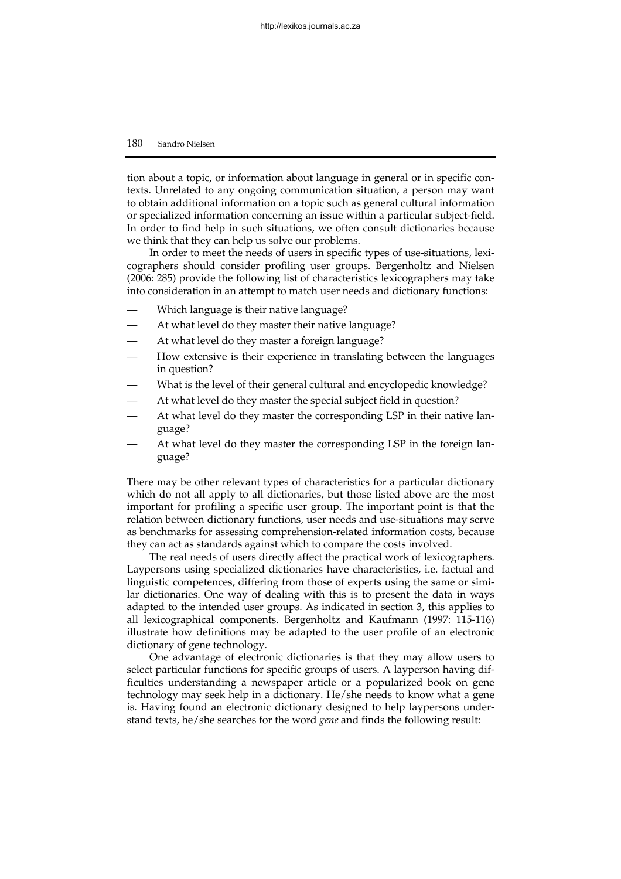tion about a topic, or information about language in general or in specific contexts. Unrelated to any ongoing communication situation, a person may want to obtain additional information on a topic such as general cultural information or specialized information concerning an issue within a particular subject-field. In order to find help in such situations, we often consult dictionaries because we think that they can help us solve our problems.

In order to meet the needs of users in specific types of use-situations, lexicographers should consider profiling user groups. Bergenholtz and Nielsen (2006: 285) provide the following list of characteristics lexicographers may take into consideration in an attempt to match user needs and dictionary functions:

- Which language is their native language?
- At what level do they master their native language?
- At what level do they master a foreign language?
- How extensive is their experience in translating between the languages in question?
- What is the level of their general cultural and encyclopedic knowledge?
- At what level do they master the special subject field in question?
- At what level do they master the corresponding LSP in their native language?
- At what level do they master the corresponding LSP in the foreign language?

There may be other relevant types of characteristics for a particular dictionary which do not all apply to all dictionaries, but those listed above are the most important for profiling a specific user group. The important point is that the relation between dictionary functions, user needs and use-situations may serve as benchmarks for assessing comprehension-related information costs, because they can act as standards against which to compare the costs involved.

The real needs of users directly affect the practical work of lexicographers. Laypersons using specialized dictionaries have characteristics, i.e. factual and linguistic competences, differing from those of experts using the same or similar dictionaries. One way of dealing with this is to present the data in ways adapted to the intended user groups. As indicated in section 3, this applies to all lexicographical components. Bergenholtz and Kaufmann (1997: 115-116) illustrate how definitions may be adapted to the user profile of an electronic dictionary of gene technology.

One advantage of electronic dictionaries is that they may allow users to select particular functions for specific groups of users. A layperson having difficulties understanding a newspaper article or a popularized book on gene technology may seek help in a dictionary. He/she needs to know what a gene is. Having found an electronic dictionary designed to help laypersons understand texts, he/she searches for the word *gene* and finds the following result: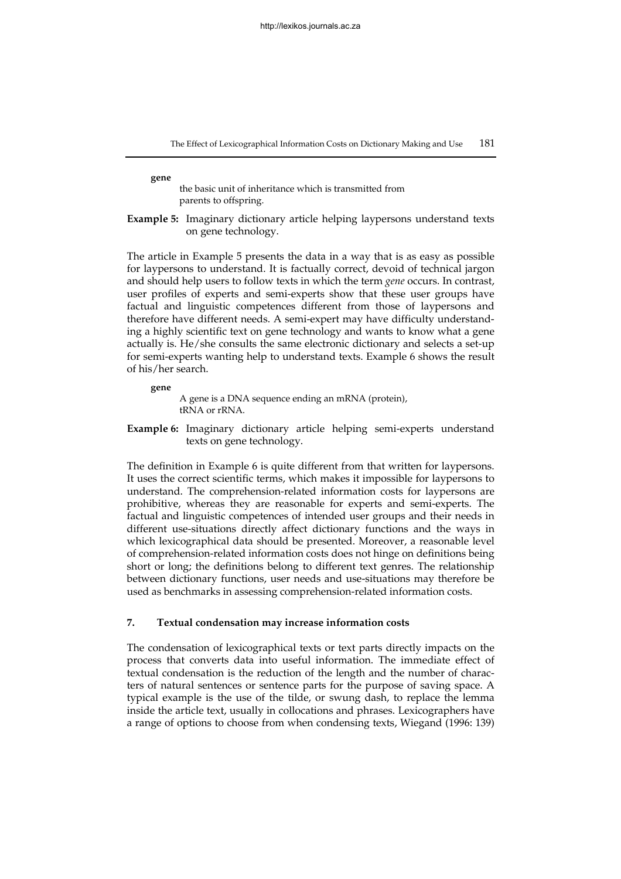**gene** 

 the basic unit of inheritance which is transmitted from parents to offspring.

**Example 5:** Imaginary dictionary article helping laypersons understand texts on gene technology.

The article in Example 5 presents the data in a way that is as easy as possible for laypersons to understand. It is factually correct, devoid of technical jargon and should help users to follow texts in which the term *gene* occurs. In contrast, user profiles of experts and semi-experts show that these user groups have factual and linguistic competences different from those of laypersons and therefore have different needs. A semi-expert may have difficulty understanding a highly scientific text on gene technology and wants to know what a gene actually is. He/she consults the same electronic dictionary and selects a set-up for semi-experts wanting help to understand texts. Example 6 shows the result of his/her search.

**gene** 

 A gene is a DNA sequence ending an mRNA (protein), tRNA or rRNA.

**Example 6:** Imaginary dictionary article helping semi-experts understand texts on gene technology.

The definition in Example 6 is quite different from that written for laypersons. It uses the correct scientific terms, which makes it impossible for laypersons to understand. The comprehension-related information costs for laypersons are prohibitive, whereas they are reasonable for experts and semi-experts. The factual and linguistic competences of intended user groups and their needs in different use-situations directly affect dictionary functions and the ways in which lexicographical data should be presented. Moreover, a reasonable level of comprehension-related information costs does not hinge on definitions being short or long; the definitions belong to different text genres. The relationship between dictionary functions, user needs and use-situations may therefore be used as benchmarks in assessing comprehension-related information costs.

## **7. Textual condensation may increase information costs**

The condensation of lexicographical texts or text parts directly impacts on the process that converts data into useful information. The immediate effect of textual condensation is the reduction of the length and the number of characters of natural sentences or sentence parts for the purpose of saving space. A typical example is the use of the tilde, or swung dash, to replace the lemma inside the article text, usually in collocations and phrases. Lexicographers have a range of options to choose from when condensing texts, Wiegand (1996: 139)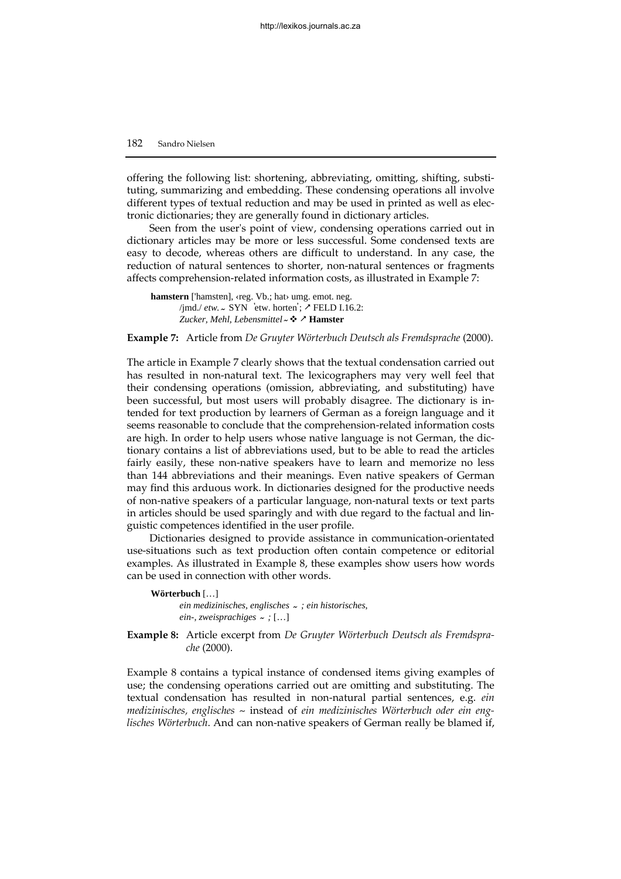offering the following list: shortening, abbreviating, omitting, shifting, substituting, summarizing and embedding. These condensing operations all involve different types of textual reduction and may be used in printed as well as electronic dictionaries; they are generally found in dictionary articles.

Seen from the user's point of view, condensing operations carried out in dictionary articles may be more or less successful. Some condensed texts are easy to decode, whereas others are difficult to understand. In any case, the reduction of natural sentences to shorter, non-natural sentences or fragments affects comprehension-related information costs, as illustrated in Example 7:

**hamstern** ['hamsten], <reg. Vb.; hat> umg. emot. neg. /jmd./  $\text{etw.} \sim \text{SYN}$   $\text{\'etw.}$  horten';  $\sim$  FELD I.16.2:  *Zucker, Mehl, Lebensmittel* ̴ **Hamster**

**Example 7:** Article from *De Gruyter Wörterbuch Deutsch als Fremdsprache* (2000).

The article in Example 7 clearly shows that the textual condensation carried out has resulted in non-natural text. The lexicographers may very well feel that their condensing operations (omission, abbreviating, and substituting) have been successful, but most users will probably disagree. The dictionary is intended for text production by learners of German as a foreign language and it seems reasonable to conclude that the comprehension-related information costs are high. In order to help users whose native language is not German, the dictionary contains a list of abbreviations used, but to be able to read the articles fairly easily, these non-native speakers have to learn and memorize no less than 144 abbreviations and their meanings. Even native speakers of German may find this arduous work. In dictionaries designed for the productive needs of non-native speakers of a particular language, non-natural texts or text parts in articles should be used sparingly and with due regard to the factual and linguistic competences identified in the user profile.

Dictionaries designed to provide assistance in communication-orientated use-situations such as text production often contain competence or editorial examples. As illustrated in Example 8, these examples show users how words can be used in connection with other words.

```
Wörterbuch […] 
ein medizinisches, englisches ̴ ; ein historisches, 
ein-, zweisprachiges ̴ ; […]
```
**Example 8:** Article excerpt from *De Gruyter Wörterbuch Deutsch als Fremdsprache* (2000).

Example 8 contains a typical instance of condensed items giving examples of use; the condensing operations carried out are omitting and substituting. The textual condensation has resulted in non-natural partial sentences, e.g. *ein medizinisches, englisches ~* instead of *ein medizinisches Wörterbuch oder ein englisches Wörterbuch*. And can non-native speakers of German really be blamed if,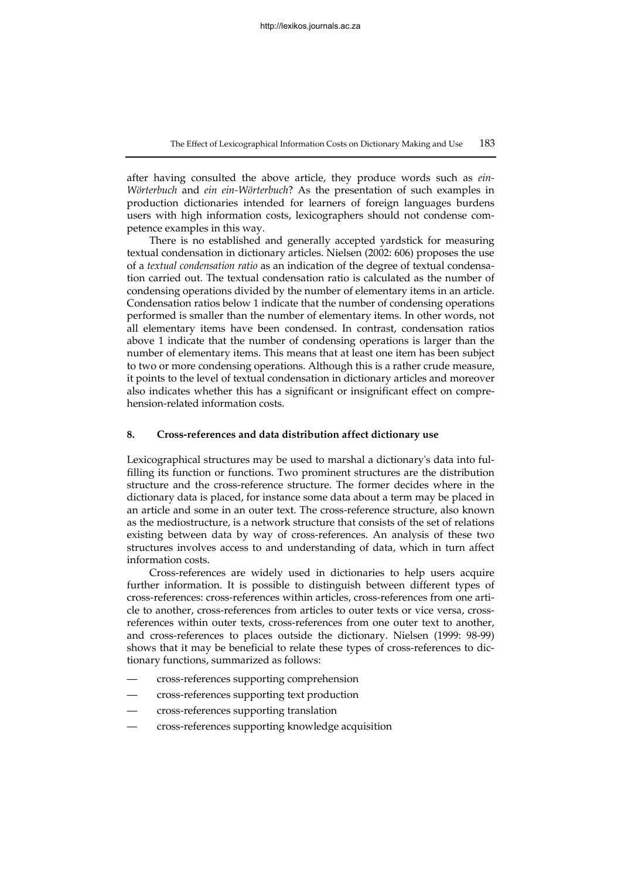after having consulted the above article, they produce words such as *ein-Wörterbuch* and *ein ein-Wörterbuch*? As the presentation of such examples in production dictionaries intended for learners of foreign languages burdens users with high information costs, lexicographers should not condense competence examples in this way.

There is no established and generally accepted yardstick for measuring textual condensation in dictionary articles. Nielsen (2002: 606) proposes the use of a *textual condensation ratio* as an indication of the degree of textual condensation carried out. The textual condensation ratio is calculated as the number of condensing operations divided by the number of elementary items in an article. Condensation ratios below 1 indicate that the number of condensing operations performed is smaller than the number of elementary items. In other words, not all elementary items have been condensed. In contrast, condensation ratios above 1 indicate that the number of condensing operations is larger than the number of elementary items. This means that at least one item has been subject to two or more condensing operations. Although this is a rather crude measure, it points to the level of textual condensation in dictionary articles and moreover also indicates whether this has a significant or insignificant effect on comprehension-related information costs.

# **8. Cross-references and data distribution affect dictionary use**

Lexicographical structures may be used to marshal a dictionary's data into fulfilling its function or functions. Two prominent structures are the distribution structure and the cross-reference structure. The former decides where in the dictionary data is placed, for instance some data about a term may be placed in an article and some in an outer text. The cross-reference structure, also known as the mediostructure, is a network structure that consists of the set of relations existing between data by way of cross-references. An analysis of these two structures involves access to and understanding of data, which in turn affect information costs.

Cross-references are widely used in dictionaries to help users acquire further information. It is possible to distinguish between different types of cross-references: cross-references within articles, cross-references from one article to another, cross-references from articles to outer texts or vice versa, crossreferences within outer texts, cross-references from one outer text to another, and cross-references to places outside the dictionary. Nielsen (1999: 98-99) shows that it may be beneficial to relate these types of cross-references to dictionary functions, summarized as follows:

- cross-references supporting comprehension
- cross-references supporting text production
- cross-references supporting translation
- cross-references supporting knowledge acquisition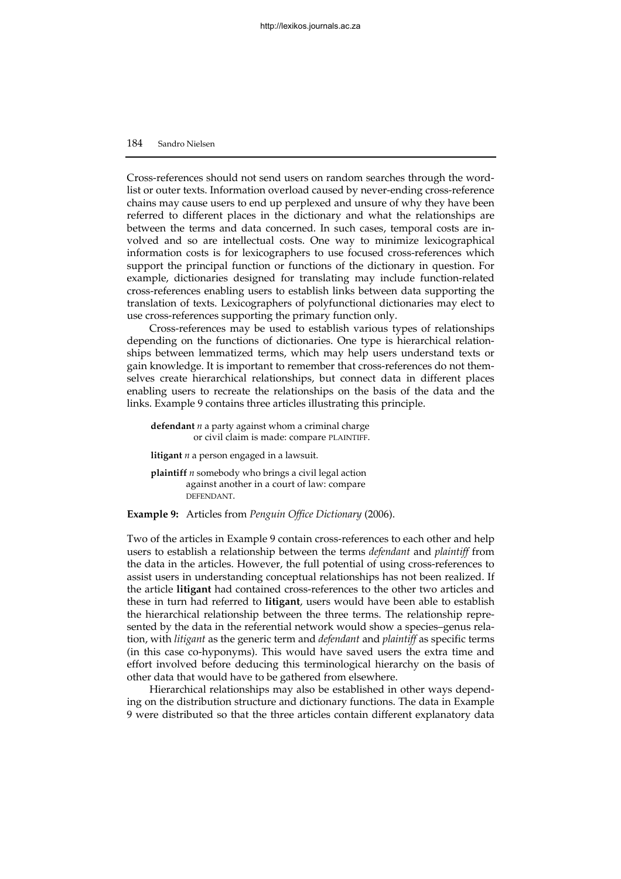Cross-references should not send users on random searches through the wordlist or outer texts. Information overload caused by never-ending cross-reference chains may cause users to end up perplexed and unsure of why they have been referred to different places in the dictionary and what the relationships are between the terms and data concerned. In such cases, temporal costs are involved and so are intellectual costs. One way to minimize lexicographical information costs is for lexicographers to use focused cross-references which support the principal function or functions of the dictionary in question. For example, dictionaries designed for translating may include function-related cross-references enabling users to establish links between data supporting the translation of texts. Lexicographers of polyfunctional dictionaries may elect to use cross-references supporting the primary function only.

Cross-references may be used to establish various types of relationships depending on the functions of dictionaries. One type is hierarchical relationships between lemmatized terms, which may help users understand texts or gain knowledge. It is important to remember that cross-references do not themselves create hierarchical relationships, but connect data in different places enabling users to recreate the relationships on the basis of the data and the links. Example 9 contains three articles illustrating this principle.

**defendant** *n* a party against whom a criminal charge or civil claim is made: compare PLAINTIFF.

**litigant** *n* a person engaged in a lawsuit.

**plaintiff** *n* somebody who brings a civil legal action against another in a court of law: compare DEFENDANT.

**Example 9:** Articles from *Penguin Office Dictionary* (2006).

Two of the articles in Example 9 contain cross-references to each other and help users to establish a relationship between the terms *defendant* and *plaintiff* from the data in the articles. However, the full potential of using cross-references to assist users in understanding conceptual relationships has not been realized. If the article **litigant** had contained cross-references to the other two articles and these in turn had referred to **litigant**, users would have been able to establish the hierarchical relationship between the three terms. The relationship represented by the data in the referential network would show a species–genus relation, with *litigant* as the generic term and *defendant* and *plaintiff* as specific terms (in this case co-hyponyms). This would have saved users the extra time and effort involved before deducing this terminological hierarchy on the basis of other data that would have to be gathered from elsewhere.

Hierarchical relationships may also be established in other ways depending on the distribution structure and dictionary functions. The data in Example 9 were distributed so that the three articles contain different explanatory data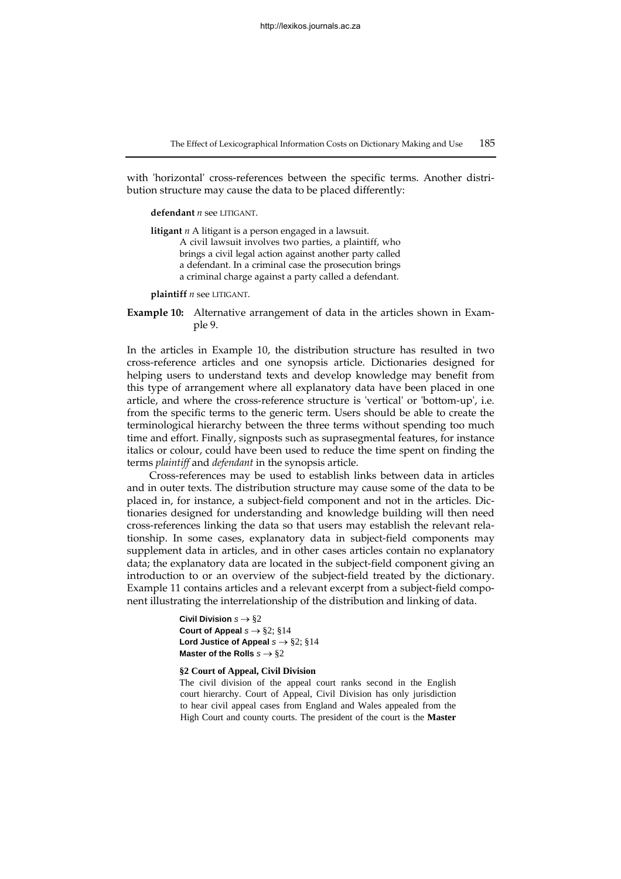with 'horizontal' cross-references between the specific terms. Another distribution structure may cause the data to be placed differently:

#### **defendant** *n* see LITIGANT.

**litigant** *n* A litigant is a person engaged in a lawsuit. A civil lawsuit involves two parties, a plaintiff, who brings a civil legal action against another party called a defendant. In a criminal case the prosecution brings a criminal charge against a party called a defendant.

**plaintiff** *n* see LITIGANT.

**Example 10:** Alternative arrangement of data in the articles shown in Example 9.

In the articles in Example 10, the distribution structure has resulted in two cross-reference articles and one synopsis article. Dictionaries designed for helping users to understand texts and develop knowledge may benefit from this type of arrangement where all explanatory data have been placed in one article, and where the cross-reference structure is 'vertical' or 'bottom-up', i.e. from the specific terms to the generic term. Users should be able to create the terminological hierarchy between the three terms without spending too much time and effort. Finally, signposts such as suprasegmental features, for instance italics or colour, could have been used to reduce the time spent on finding the terms *plaintiff* and *defendant* in the synopsis article.

Cross-references may be used to establish links between data in articles and in outer texts. The distribution structure may cause some of the data to be placed in, for instance, a subject-field component and not in the articles. Dictionaries designed for understanding and knowledge building will then need cross-references linking the data so that users may establish the relevant relationship. In some cases, explanatory data in subject-field components may supplement data in articles, and in other cases articles contain no explanatory data; the explanatory data are located in the subject-field component giving an introduction to or an overview of the subject-field treated by the dictionary. Example 11 contains articles and a relevant excerpt from a subject-field component illustrating the interrelationship of the distribution and linking of data.

> **Civil Division** *s* → §2 **Court of Appeal**  $s \rightarrow \S 2$ ;  $\S 14$ **Lord Justice of Appeal** *s* → §2; §14 **Master of the Rolls**  $s \rightarrow \S{2}$

#### **§2 Court of Appeal, Civil Division**

 The civil division of the appeal court ranks second in the English court hierarchy. Court of Appeal, Civil Division has only jurisdiction to hear civil appeal cases from England and Wales appealed from the High Court and county courts. The president of the court is the **Master**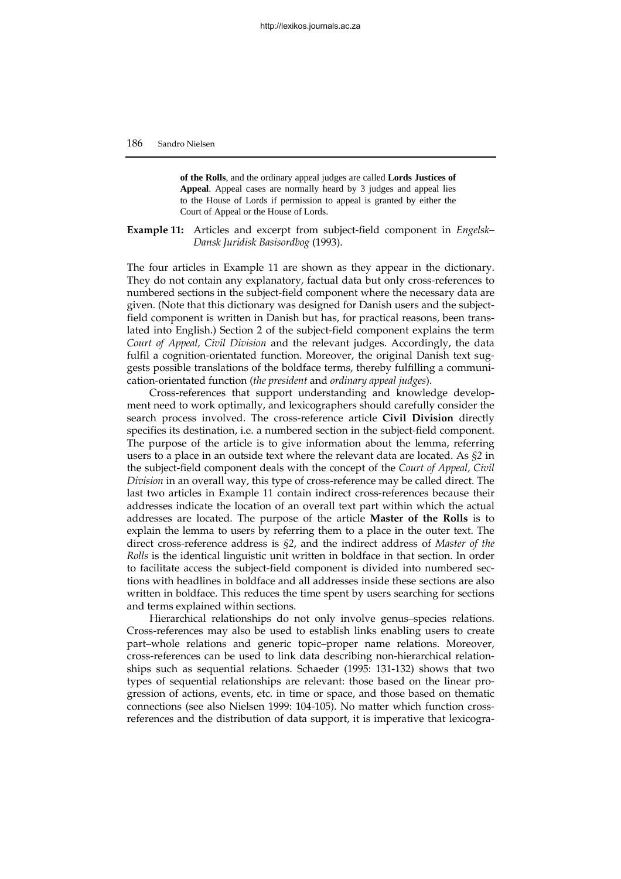**of the Rolls**, and the ordinary appeal judges are called **Lords Justices of Appeal**. Appeal cases are normally heard by 3 judges and appeal lies to the House of Lords if permission to appeal is granted by either the Court of Appeal or the House of Lords.

## **Example 11:** Articles and excerpt from subject-field component in *Engelsk– Dansk Juridisk Basisordbog* (1993).

The four articles in Example 11 are shown as they appear in the dictionary. They do not contain any explanatory, factual data but only cross-references to numbered sections in the subject-field component where the necessary data are given. (Note that this dictionary was designed for Danish users and the subjectfield component is written in Danish but has, for practical reasons, been translated into English.) Section 2 of the subject-field component explains the term *Court of Appeal, Civil Division* and the relevant judges. Accordingly, the data fulfil a cognition-orientated function. Moreover, the original Danish text suggests possible translations of the boldface terms, thereby fulfilling a communication-orientated function (*the president* and *ordinary appeal judges*).

Cross-references that support understanding and knowledge development need to work optimally, and lexicographers should carefully consider the search process involved. The cross-reference article **Civil Division** directly specifies its destination, i.e. a numbered section in the subject-field component. The purpose of the article is to give information about the lemma, referring users to a place in an outside text where the relevant data are located. As *§2* in the subject-field component deals with the concept of the *Court of Appeal, Civil Division* in an overall way, this type of cross-reference may be called direct. The last two articles in Example 11 contain indirect cross-references because their addresses indicate the location of an overall text part within which the actual addresses are located. The purpose of the article **Master of the Rolls** is to explain the lemma to users by referring them to a place in the outer text. The direct cross-reference address is *§2*, and the indirect address of *Master of the Rolls* is the identical linguistic unit written in boldface in that section. In order to facilitate access the subject-field component is divided into numbered sections with headlines in boldface and all addresses inside these sections are also written in boldface. This reduces the time spent by users searching for sections and terms explained within sections.

Hierarchical relationships do not only involve genus–species relations. Cross-references may also be used to establish links enabling users to create part–whole relations and generic topic–proper name relations. Moreover, cross-references can be used to link data describing non-hierarchical relationships such as sequential relations. Schaeder (1995: 131-132) shows that two types of sequential relationships are relevant: those based on the linear progression of actions, events, etc. in time or space, and those based on thematic connections (see also Nielsen 1999: 104-105). No matter which function crossreferences and the distribution of data support, it is imperative that lexicogra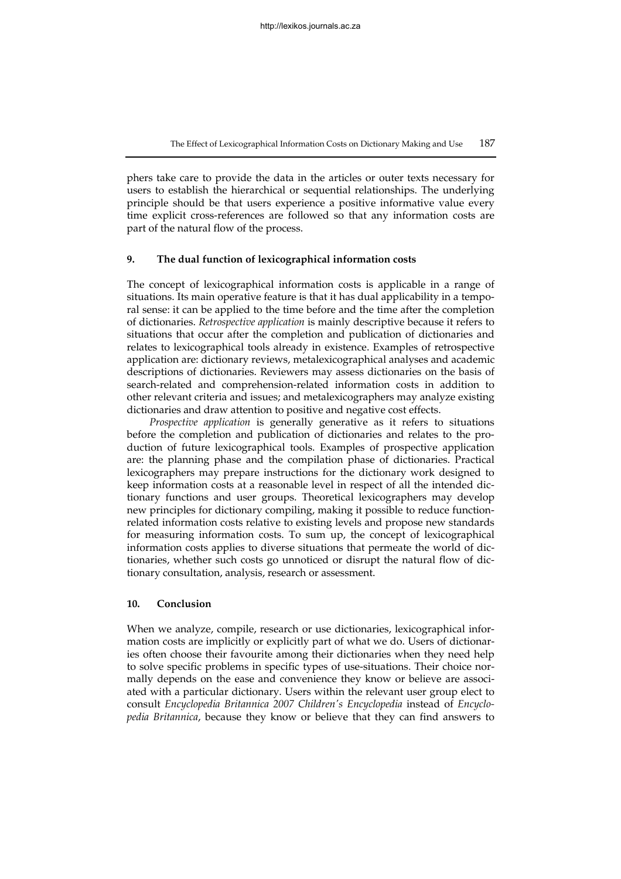phers take care to provide the data in the articles or outer texts necessary for users to establish the hierarchical or sequential relationships. The underlying principle should be that users experience a positive informative value every time explicit cross-references are followed so that any information costs are part of the natural flow of the process.

# **9. The dual function of lexicographical information costs**

The concept of lexicographical information costs is applicable in a range of situations. Its main operative feature is that it has dual applicability in a temporal sense: it can be applied to the time before and the time after the completion of dictionaries. *Retrospective application* is mainly descriptive because it refers to situations that occur after the completion and publication of dictionaries and relates to lexicographical tools already in existence. Examples of retrospective application are: dictionary reviews, metalexicographical analyses and academic descriptions of dictionaries. Reviewers may assess dictionaries on the basis of search-related and comprehension-related information costs in addition to other relevant criteria and issues; and metalexicographers may analyze existing dictionaries and draw attention to positive and negative cost effects.

*Prospective application* is generally generative as it refers to situations before the completion and publication of dictionaries and relates to the production of future lexicographical tools. Examples of prospective application are: the planning phase and the compilation phase of dictionaries. Practical lexicographers may prepare instructions for the dictionary work designed to keep information costs at a reasonable level in respect of all the intended dictionary functions and user groups. Theoretical lexicographers may develop new principles for dictionary compiling, making it possible to reduce functionrelated information costs relative to existing levels and propose new standards for measuring information costs. To sum up, the concept of lexicographical information costs applies to diverse situations that permeate the world of dictionaries, whether such costs go unnoticed or disrupt the natural flow of dictionary consultation, analysis, research or assessment.

#### **10. Conclusion**

When we analyze, compile, research or use dictionaries, lexicographical information costs are implicitly or explicitly part of what we do. Users of dictionaries often choose their favourite among their dictionaries when they need help to solve specific problems in specific types of use-situations. Their choice normally depends on the ease and convenience they know or believe are associated with a particular dictionary. Users within the relevant user group elect to consult *Encyclopedia Britannica 2007 Children's Encyclopedia* instead of *Encyclopedia Britannica*, because they know or believe that they can find answers to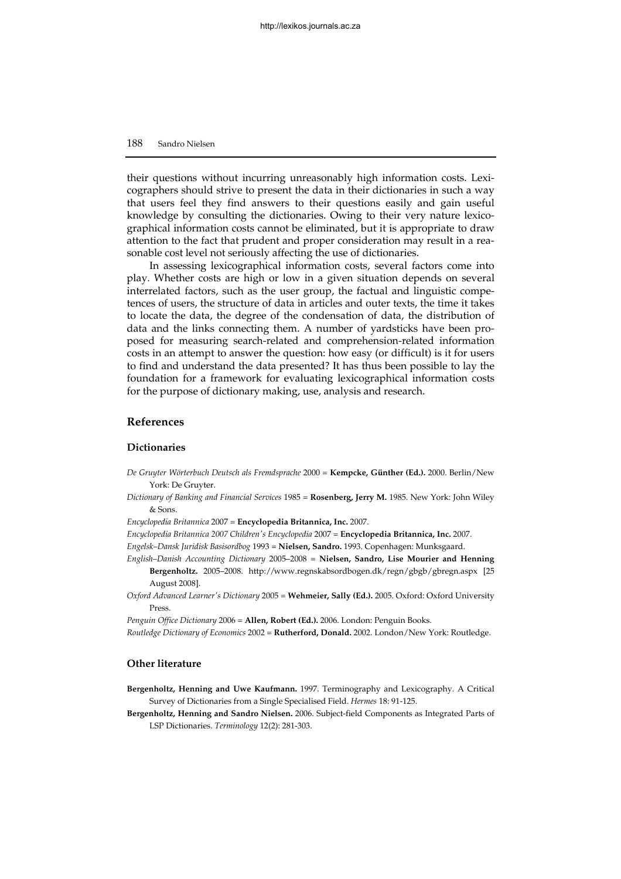their questions without incurring unreasonably high information costs. Lexicographers should strive to present the data in their dictionaries in such a way that users feel they find answers to their questions easily and gain useful knowledge by consulting the dictionaries. Owing to their very nature lexicographical information costs cannot be eliminated, but it is appropriate to draw attention to the fact that prudent and proper consideration may result in a reasonable cost level not seriously affecting the use of dictionaries.

In assessing lexicographical information costs, several factors come into play. Whether costs are high or low in a given situation depends on several interrelated factors, such as the user group, the factual and linguistic competences of users, the structure of data in articles and outer texts, the time it takes to locate the data, the degree of the condensation of data, the distribution of data and the links connecting them. A number of yardsticks have been proposed for measuring search-related and comprehension-related information costs in an attempt to answer the question: how easy (or difficult) is it for users to find and understand the data presented? It has thus been possible to lay the foundation for a framework for evaluating lexicographical information costs for the purpose of dictionary making, use, analysis and research.

## **References**

#### **Dictionaries**

- *De Gruyter Wörterbuch Deutsch als Fremdsprache* 2000 = **Kempcke, Günther (Ed.).** 2000. Berlin/New York: De Gruyter.
- *Dictionary of Banking and Financial Services* 1985 = **Rosenberg, Jerry M.** 1985. New York: John Wiley & Sons.

*Encyclopedia Britannica* 2007 = **Encyclopedia Britannica, Inc.** 2007.

*Encyclopedia Britannica 2007 Children's Encyclopedia* 2007 = **Encyclopedia Britannica, Inc.** 2007.

*Engelsk–Dansk Juridisk Basisordbog* 1993 = **Nielsen, Sandro.** 1993. Copenhagen: Munksgaard.

- *English–Danish Accounting Dictionary* 2005–2008 = **Nielsen, Sandro, Lise Mourier and Henning Bergenholtz.** 2005–2008. http://www.regnskabsordbogen.dk/regn/gbgb/gbregn.aspx [25 August 2008].
- *Oxford Advanced Learner's Dictionary* 2005 = **Wehmeier, Sally (Ed.).** 2005. Oxford: Oxford University Press.

*Penguin Office Dictionary* 2006 = **Allen, Robert (Ed.).** 2006. London: Penguin Books.

*Routledge Dictionary of Economics* 2002 = **Rutherford, Donald.** 2002. London/New York: Routledge.

## **Other literature**

**Bergenholtz, Henning and Uwe Kaufmann.** 1997. Terminography and Lexicography. A Critical Survey of Dictionaries from a Single Specialised Field. *Hermes* 18: 91-125.

**Bergenholtz, Henning and Sandro Nielsen.** 2006. Subject-field Components as Integrated Parts of LSP Dictionaries. *Terminology* 12(2): 281-303.